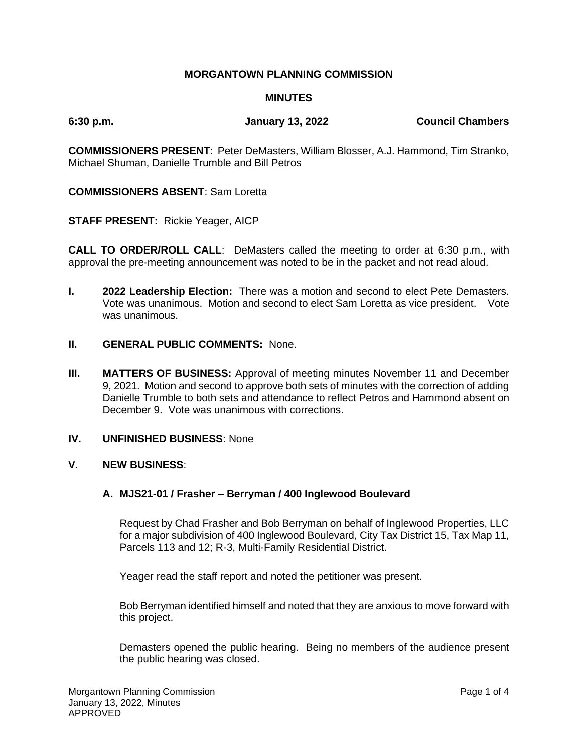# **MORGANTOWN PLANNING COMMISSION**

### **MINUTES**

**6:30 p.m. January 13, 2022 Council Chambers**

**COMMISSIONERS PRESENT**: Peter DeMasters, William Blosser, A.J. Hammond, Tim Stranko, Michael Shuman, Danielle Trumble and Bill Petros

### **COMMISSIONERS ABSENT**: Sam Loretta

**STAFF PRESENT:** Rickie Yeager, AICP

**CALL TO ORDER/ROLL CALL**: DeMasters called the meeting to order at 6:30 p.m., with approval the pre-meeting announcement was noted to be in the packet and not read aloud.

- **I. 2022 Leadership Election:** There was a motion and second to elect Pete Demasters. Vote was unanimous. Motion and second to elect Sam Loretta as vice president. Vote was unanimous.
- **II. GENERAL PUBLIC COMMENTS:** None.
- **III. MATTERS OF BUSINESS:** Approval of meeting minutes November 11 and December 9, 2021. Motion and second to approve both sets of minutes with the correction of adding Danielle Trumble to both sets and attendance to reflect Petros and Hammond absent on December 9. Vote was unanimous with corrections.

## **IV. UNFINISHED BUSINESS**: None

### **V. NEW BUSINESS**:

### **A. MJS21-01 / Frasher – Berryman / 400 Inglewood Boulevard**

Request by Chad Frasher and Bob Berryman on behalf of Inglewood Properties, LLC for a major subdivision of 400 Inglewood Boulevard, City Tax District 15, Tax Map 11, Parcels 113 and 12; R-3, Multi-Family Residential District.

Yeager read the staff report and noted the petitioner was present.

Bob Berryman identified himself and noted that they are anxious to move forward with this project.

Demasters opened the public hearing. Being no members of the audience present the public hearing was closed.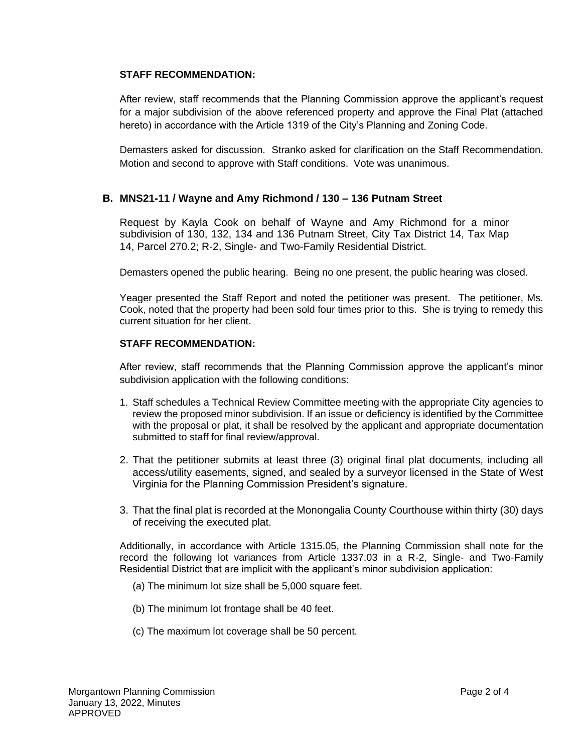### **STAFF RECOMMENDATION:**

After review, staff recommends that the Planning Commission approve the applicant's request for a major subdivision of the above referenced property and approve the Final Plat (attached hereto) in accordance with the Article 1319 of the City's Planning and Zoning Code.

Demasters asked for discussion. Stranko asked for clarification on the Staff Recommendation. Motion and second to approve with Staff conditions. Vote was unanimous.

## **B. MNS21-11 / Wayne and Amy Richmond / 130 – 136 Putnam Street**

Request by Kayla Cook on behalf of Wayne and Amy Richmond for a minor subdivision of 130, 132, 134 and 136 Putnam Street, City Tax District 14, Tax Map 14, Parcel 270.2; R-2, Single- and Two-Family Residential District.

Demasters opened the public hearing. Being no one present, the public hearing was closed.

Yeager presented the Staff Report and noted the petitioner was present. The petitioner, Ms. Cook, noted that the property had been sold four times prior to this. She is trying to remedy this current situation for her client.

#### **STAFF RECOMMENDATION:**

After review, staff recommends that the Planning Commission approve the applicant's minor subdivision application with the following conditions:

- 1. Staff schedules a Technical Review Committee meeting with the appropriate City agencies to review the proposed minor subdivision. If an issue or deficiency is identified by the Committee with the proposal or plat, it shall be resolved by the applicant and appropriate documentation submitted to staff for final review/approval.
- 2. That the petitioner submits at least three (3) original final plat documents, including all access/utility easements, signed, and sealed by a surveyor licensed in the State of West Virginia for the Planning Commission President's signature.
- 3. That the final plat is recorded at the Monongalia County Courthouse within thirty (30) days of receiving the executed plat.

Additionally, in accordance with Article 1315.05, the Planning Commission shall note for the record the following lot variances from Article 1337.03 in a R-2, Single- and Two-Family Residential District that are implicit with the applicant's minor subdivision application:

- (a) The minimum lot size shall be 5,000 square feet.
- (b) The minimum lot frontage shall be 40 feet.
- (c) The maximum lot coverage shall be 50 percent.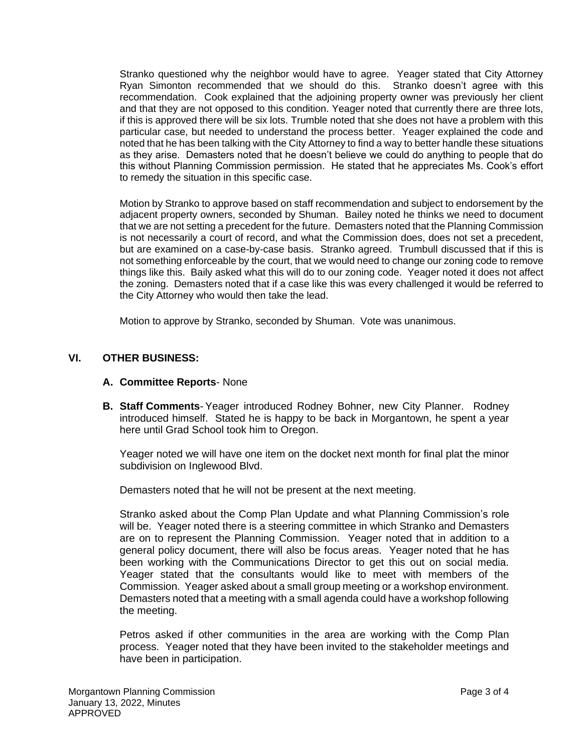Stranko questioned why the neighbor would have to agree. Yeager stated that City Attorney Ryan Simonton recommended that we should do this. Stranko doesn't agree with this recommendation. Cook explained that the adjoining property owner was previously her client and that they are not opposed to this condition. Yeager noted that currently there are three lots, if this is approved there will be six lots. Trumble noted that she does not have a problem with this particular case, but needed to understand the process better. Yeager explained the code and noted that he has been talking with the City Attorney to find a way to better handle these situations as they arise. Demasters noted that he doesn't believe we could do anything to people that do this without Planning Commission permission. He stated that he appreciates Ms. Cook's effort to remedy the situation in this specific case.

Motion by Stranko to approve based on staff recommendation and subject to endorsement by the adjacent property owners, seconded by Shuman. Bailey noted he thinks we need to document that we are not setting a precedent for the future. Demasters noted that the Planning Commission is not necessarily a court of record, and what the Commission does, does not set a precedent, but are examined on a case-by-case basis. Stranko agreed. Trumbull discussed that if this is not something enforceable by the court, that we would need to change our zoning code to remove things like this. Baily asked what this will do to our zoning code. Yeager noted it does not affect the zoning. Demasters noted that if a case like this was every challenged it would be referred to the City Attorney who would then take the lead.

Motion to approve by Stranko, seconded by Shuman. Vote was unanimous.

## **VI. OTHER BUSINESS:**

### **A. Committee Reports**- None

**B. Staff Comments**- Yeager introduced Rodney Bohner, new City Planner. Rodney introduced himself. Stated he is happy to be back in Morgantown, he spent a year here until Grad School took him to Oregon.

Yeager noted we will have one item on the docket next month for final plat the minor subdivision on Inglewood Blvd.

Demasters noted that he will not be present at the next meeting.

Stranko asked about the Comp Plan Update and what Planning Commission's role will be. Yeager noted there is a steering committee in which Stranko and Demasters are on to represent the Planning Commission. Yeager noted that in addition to a general policy document, there will also be focus areas. Yeager noted that he has been working with the Communications Director to get this out on social media. Yeager stated that the consultants would like to meet with members of the Commission. Yeager asked about a small group meeting or a workshop environment. Demasters noted that a meeting with a small agenda could have a workshop following the meeting.

Petros asked if other communities in the area are working with the Comp Plan process. Yeager noted that they have been invited to the stakeholder meetings and have been in participation.